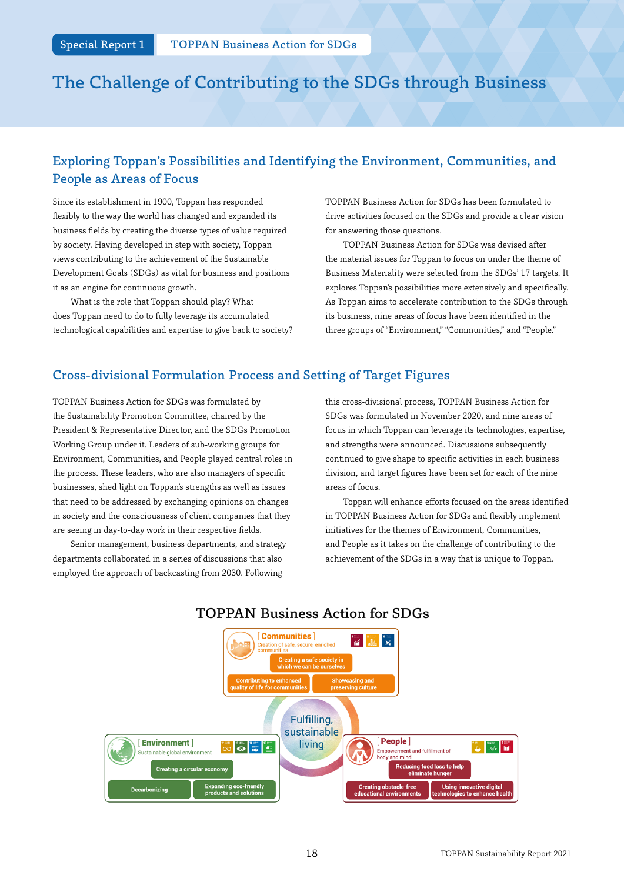# The Challenge of Contributing to the SDGs through Business

### Exploring Toppan's Possibilities and Identifying the Environment, Communities, and People as Areas of Focus

Since its establishment in 1900, Toppan has responded flexibly to the way the world has changed and expanded its business fields by creating the diverse types of value required by society. Having developed in step with society, Toppan views contributing to the achievement of the Sustainable Development Goals (SDGs) as vital for business and positions it as an engine for continuous growth.

What is the role that Toppan should play? What does Toppan need to do to fully leverage its accumulated technological capabilities and expertise to give back to society? TOPPAN Business Action for SDGs has been formulated to drive activities focused on the SDGs and provide a clear vision for answering those questions.

TOPPAN Business Action for SDGs was devised after the material issues for Toppan to focus on under the theme of Business Materiality were selected from the SDGs' 17 targets. It explores Toppan's possibilities more extensively and specifically. As Toppan aims to accelerate contribution to the SDGs through its business, nine areas of focus have been identified in the three groups of "Environment," "Communities," and "People."

### Cross-divisional Formulation Process and Setting of Target Figures

TOPPAN Business Action for SDGs was formulated by the Sustainability Promotion Committee, chaired by the President & Representative Director, and the SDGs Promotion Working Group under it. Leaders of sub-working groups for Environment, Communities, and People played central roles in the process. These leaders, who are also managers of specific businesses, shed light on Toppan's strengths as well as issues that need to be addressed by exchanging opinions on changes in society and the consciousness of client companies that they are seeing in day-to-day work in their respective fields.

Senior management, business departments, and strategy departments collaborated in a series of discussions that also employed the approach of backcasting from 2030. Following

this cross-divisional process, TOPPAN Business Action for SDGs was formulated in November 2020, and nine areas of focus in which Toppan can leverage its technologies, expertise, and strengths were announced. Discussions subsequently continued to give shape to specific activities in each business division, and target figures have been set for each of the nine areas of focus.

Toppan will enhance efforts focused on the areas identified in TOPPAN Business Action for SDGs and flexibly implement initiatives for the themes of Environment, Communities, and People as it takes on the challenge of contributing to the achievement of the SDGs in a way that is unique to Toppan.



## **TOPPAN Business Action for SDGs**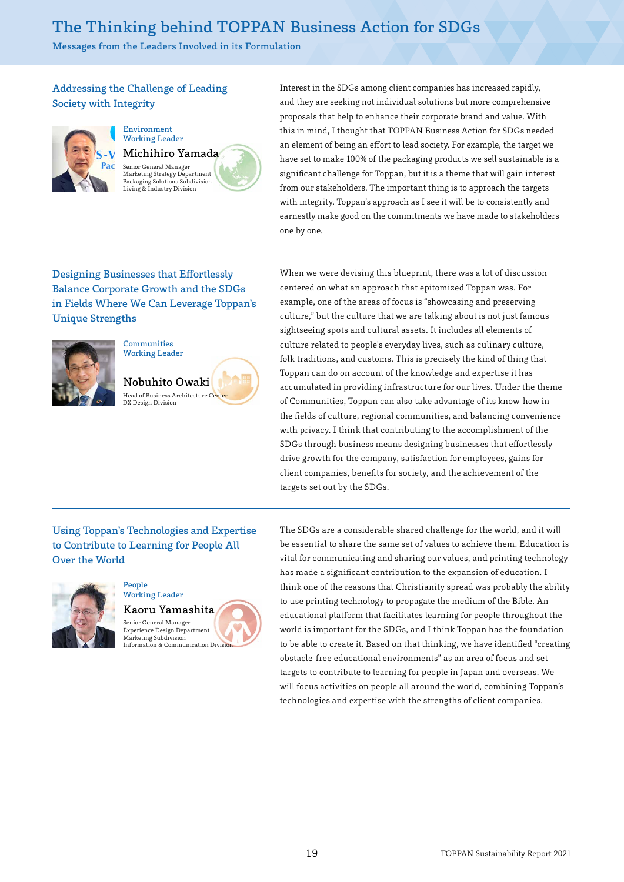## The Thinking behind TOPPAN Business Action for SDGs

Messages from the Leaders Involved in its Formulation

### Addressing the Challenge of Leading Society with Integrity



Environment Working Leader Michihiro Yamada Senior General Manager Marketing Strategy Department Packaging Solutions Subdivision Living & Industry Division

Interest in the SDGs among client companies has increased rapidly, and they are seeking not individual solutions but more comprehensive proposals that help to enhance their corporate brand and value. With this in mind, I thought that TOPPAN Business Action for SDGs needed an element of being an effort to lead society. For example, the target we have set to make 100% of the packaging products we sell sustainable is a significant challenge for Toppan, but it is a theme that will gain interest from our stakeholders. The important thing is to approach the targets with integrity. Toppan's approach as I see it will be to consistently and earnestly make good on the commitments we have made to stakeholders one by one.

### Designing Businesses that Effortlessly Balance Corporate Growth and the SDGs in Fields Where We Can Leverage Toppan's Unique Strengths



## **Communities** Working Leader

Nobuhito Owaki Head of Business Architecture Center DX Design Division

When we were devising this blueprint, there was a lot of discussion centered on what an approach that epitomized Toppan was. For example, one of the areas of focus is "showcasing and preserving culture," but the culture that we are talking about is not just famous sightseeing spots and cultural assets. It includes all elements of culture related to people's everyday lives, such as culinary culture, folk traditions, and customs. This is precisely the kind of thing that Toppan can do on account of the knowledge and expertise it has accumulated in providing infrastructure for our lives. Under the theme of Communities, Toppan can also take advantage of its know-how in the fields of culture, regional communities, and balancing convenience with privacy. I think that contributing to the accomplishment of the SDGs through business means designing businesses that effortlessly drive growth for the company, satisfaction for employees, gains for client companies, benefits for society, and the achievement of the targets set out by the SDGs.

### Using Toppan's Technologies and Expertise to Contribute to Learning for People All Over the World



#### People Working Leader

Kaoru Yamashita Senior General Manager Experience Design Department Marketing Subdivision Information & Communication Divisi

The SDGs are a considerable shared challenge for the world, and it will be essential to share the same set of values to achieve them. Education is vital for communicating and sharing our values, and printing technology has made a significant contribution to the expansion of education. I think one of the reasons that Christianity spread was probably the ability to use printing technology to propagate the medium of the Bible. An educational platform that facilitates learning for people throughout the world is important for the SDGs, and I think Toppan has the foundation to be able to create it. Based on that thinking, we have identified "creating obstacle-free educational environments" as an area of focus and set targets to contribute to learning for people in Japan and overseas. We will focus activities on people all around the world, combining Toppan's technologies and expertise with the strengths of client companies.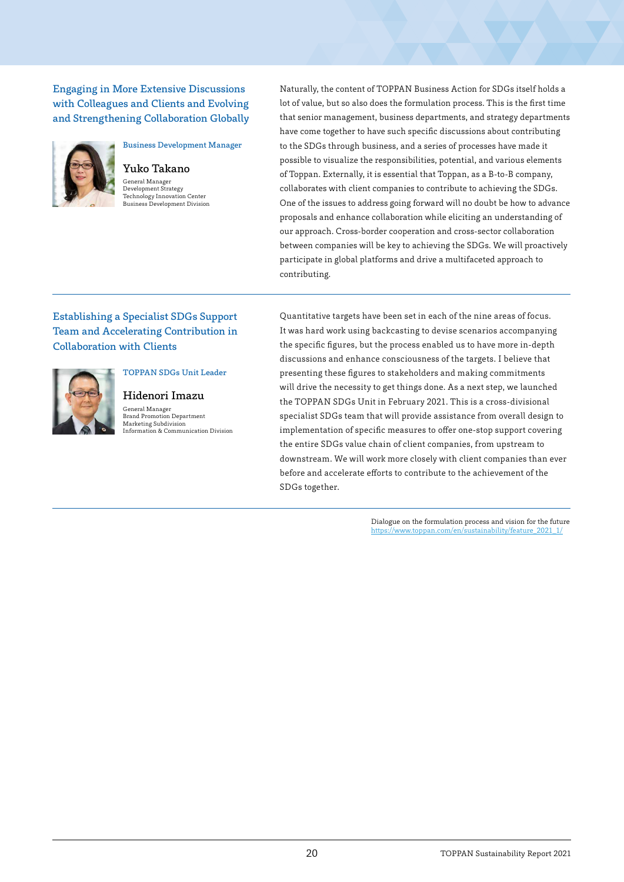Engaging in More Extensive Discussions with Colleagues and Clients and Evolving and Strengthening Collaboration Globally



Yuko Takano General Manager Development Strategy Technology Innovation Center Business Development Division

Business Development Manager

Naturally, the content of TOPPAN Business Action for SDGs itself holds a lot of value, but so also does the formulation process. This is the first time that senior management, business departments, and strategy departments have come together to have such specific discussions about contributing to the SDGs through business, and a series of processes have made it possible to visualize the responsibilities, potential, and various elements of Toppan. Externally, it is essential that Toppan, as a B-to-B company, collaborates with client companies to contribute to achieving the SDGs. One of the issues to address going forward will no doubt be how to advance proposals and enhance collaboration while eliciting an understanding of our approach. Cross-border cooperation and cross-sector collaboration between companies will be key to achieving the SDGs. We will proactively participate in global platforms and drive a multifaceted approach to contributing.

### Establishing a Specialist SDGs Support Team and Accelerating Contribution in Collaboration with Clients



## Hidenori Imazu

TOPPAN SDGs Unit Leader

General Manager Brand Promotion Department Marketing Subdivision Information & Communication Division

Quantitative targets have been set in each of the nine areas of focus. It was hard work using backcasting to devise scenarios accompanying the specific figures, but the process enabled us to have more in-depth discussions and enhance consciousness of the targets. I believe that presenting these figures to stakeholders and making commitments will drive the necessity to get things done. As a next step, we launched the TOPPAN SDGs Unit in February 2021. This is a cross-divisional specialist SDGs team that will provide assistance from overall design to implementation of specific measures to offer one-stop support covering the entire SDGs value chain of client companies, from upstream to downstream. We will work more closely with client companies than ever before and accelerate efforts to contribute to the achievement of the SDGs together.

> Dialogue on the formulation process and vision for the future [https://www.toppan.com/en/sustainability/f](https://www.toppan.com/en/sustainability/feature_2021_1/)eature\_2021\_1/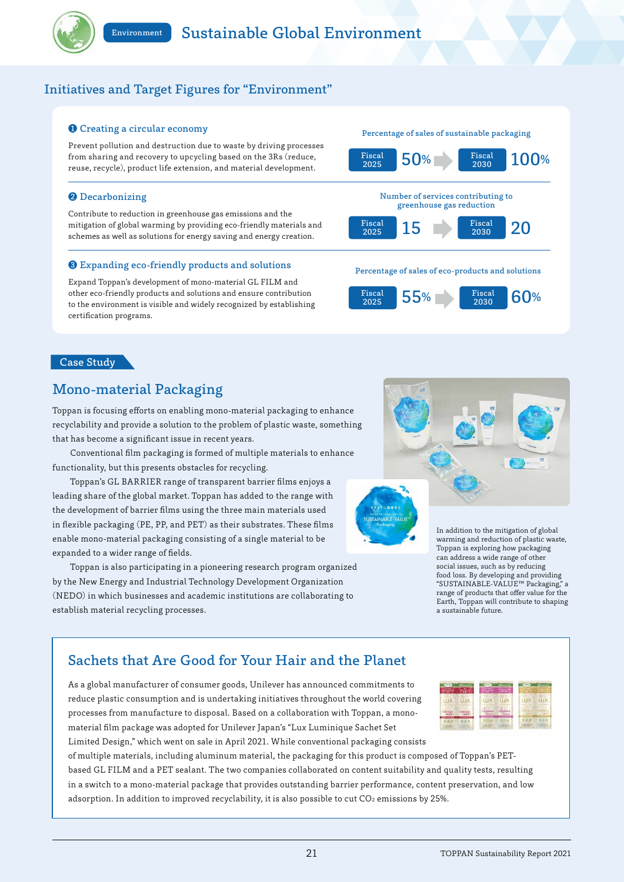

### Initiatives and Target Figures for "Environment"

#### ❶ Creating a circular economy

Prevent pollution and destruction due to waste by driving processes from sharing and recovery to upcycling based on the 3Rs (reduce, reuse, recycle), product life extension, and material development.

#### ❷ Decarbonizing

Contribute to reduction in greenhouse gas emissions and the mitigation of global warming by providing eco-friendly materials and schemes as well as solutions for energy saving and energy creation.

#### ❸ Expanding eco-friendly products and solutions

Expand Toppan's development of mono-material GL FILM and other eco-friendly products and solutions and ensure contribution to the environment is visible and widely recognized by establishing certification programs.



#### Percentage of sales of eco-products and solutions



### Case Study

### Mono-material Packaging

Toppan is focusing efforts on enabling mono-material packaging to enhance recyclability and provide a solution to the problem of plastic waste, something that has become a significant issue in recent years.

Conventional film packaging is formed of multiple materials to enhance functionality, but this presents obstacles for recycling.

Toppan's GL BARRIER range of transparent barrier films enjoys a leading share of the global market. Toppan has added to the range with the development of barrier films using the three main materials used in flexible packaging (PE, PP, and PET) as their substrates. These films enable mono-material packaging consisting of a single material to be expanded to a wider range of fields.

Toppan is also participating in a pioneering research program organized by the New Energy and Industrial Technology Development Organization (NEDO) in which businesses and academic institutions are collaborating to establish material recycling processes.



In addition to the mitigation of global warming and reduction of plastic waste, Toppan is exploring how packaging can address a wide range of other social issues, such as by reducing food loss. By developing and providing "SUSTAINABLE-VALUE™ Packaging," a range of products that offer value for the Earth, Toppan will contribute to shaping a sustainable future.

### Sachets that Are Good for Your Hair and the Planet

As a global manufacturer of consumer goods, Unilever has announced commitments to reduce plastic consumption and is undertaking initiatives throughout the world covering processes from manufacture to disposal. Based on a collaboration with Toppan, a monomaterial film package was adopted for Unilever Japan's "Lux Luminique Sachet Set Limited Design," which went on sale in April 2021. While conventional packaging consists



of multiple materials, including aluminum material, the packaging for this product is composed of Toppan's PETbased GL FILM and a PET sealant. The two companies collaborated on content suitability and quality tests, resulting in a switch to a mono-material package that provides outstanding barrier performance, content preservation, and low adsorption. In addition to improved recyclability, it is also possible to cut CO2 emissions by 25%.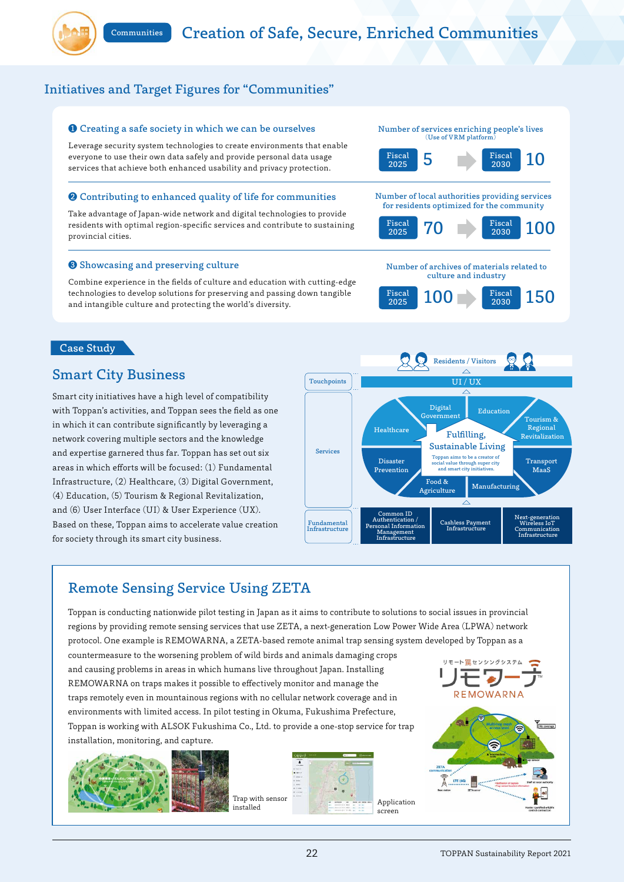

### Initiatives and Target Figures for "Communities"

#### ❶ Creating a safe society in which we can be ourselves

Leverage security system technologies to create environments that enable everyone to use their own data safely and provide personal data usage services that achieve both enhanced usability and privacy protection.

#### ❷ Contributing to enhanced quality of life for communities

Take advantage of Japan-wide network and digital technologies to provide residents with optimal region-specific services and contribute to sustaining provincial cities.

#### ❸ Showcasing and preserving culture

Combine experience in the fields of culture and education with cutting-edge technologies to develop solutions for preserving and passing down tangible and intangible culture and protecting the world's diversity.

#### Case Study

### Smart City Business

Smart city initiatives have a high level of compatibility with Toppan's activities, and Toppan sees the field as one in which it can contribute significantly by leveraging a network covering multiple sectors and the knowledge and expertise garnered thus far. Toppan has set out six areas in which efforts will be focused: (1) Fundamental Infrastructure, (2) Healthcare, (3) Digital Government, (4) Education, (5) Tourism & Regional Revitalization, and (6) User Interface (UI) & User Experience (UX). Based on these, Toppan aims to accelerate value creation for society through its smart city business.



2025

## Remote Sensing Service Using ZETA

Toppan is conducting nationwide pilot testing in Japan as it aims to contribute to solutions to social issues in provincial regions by providing remote sensing services that use ZETA, a next-generation Low Power Wide Area (LPWA) network protocol. One example is REMOWARNA, a ZETA-based remote animal trap sensing system developed by Toppan as a

countermeasure to the worsening problem of wild birds and animals damaging crops and causing problems in areas in which humans live throughout Japan. Installing REMOWARNA on traps makes it possible to effectively monitor and manage the traps remotely even in mountainous regions with no cellular network coverage and in environments with limited access. In pilot testing in Okuma, Fukushima Prefecture, Toppan is working with ALSOK Fukushima Co., Ltd. to provide a one-stop service for trap installation, monitoring, and capture.





Trap with sensor







Number of archives of materials related to culture and industry

 $F_{1}$   $F_{1}$   $F_{1}$   $F_{1}$   $F_{1}$   $F_{1}$   $F_{1}$   $F_{1}$   $F_{1}$   $F_{1}$   $F_{1}$   $F_{1}$   $F_{1}$   $F_{1}$   $F_{1}$   $F_{1}$   $F_{1}$   $F_{1}$   $F_{1}$   $F_{1}$   $F_{1}$   $F_{1}$   $F_{1}$   $F_{1}$   $F_{1}$   $F_{1}$   $F_{1}$   $F_{1}$   $F_{1}$   $F_{1}$   $F_{1}$   $F_{1$ 

Number of services enriching people's lives (Use of VRM platform)



Fiscal 2030